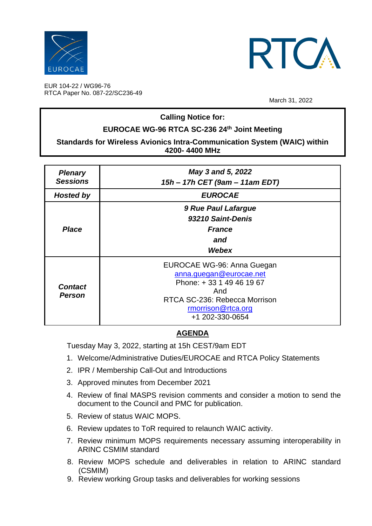



EUR 104-22 / WG96-76 RTCA Paper No. 087-22/SC236-49

March 31, 2022

## **Calling Notice for:**

# **EUROCAE WG-96 RTCA SC-236 24th Joint Meeting**

### **Standards for Wireless Avionics Intra-Communication System (WAIC) within 4200- 4400 MHz**

| <b>Plenary</b><br><b>Sessions</b> | May 3 and 5, 2022<br>15h - 17h CET (9am - 11am EDT)                                                                                                                |
|-----------------------------------|--------------------------------------------------------------------------------------------------------------------------------------------------------------------|
| <b>Hosted by</b>                  | <b>EUROCAE</b>                                                                                                                                                     |
| <b>Place</b>                      | 9 Rue Paul Lafargue<br>93210 Saint-Denis<br><b>France</b><br>and                                                                                                   |
|                                   | Webex                                                                                                                                                              |
| <b>Contact</b><br><b>Person</b>   | EUROCAE WG-96: Anna Guegan<br>anna.guegan@eurocae.net<br>Phone: +33 1 49 46 19 67<br>And<br>RTCA SC-236: Rebecca Morrison<br>rmorrison@rtca.org<br>+1 202-330-0654 |

# **AGENDA**

Tuesday May 3, 2022, starting at 15h CEST/9am EDT

- 1. Welcome/Administrative Duties/EUROCAE and RTCA Policy Statements
- 2. IPR / Membership Call-Out and Introductions
- 3. Approved minutes from December 2021
- 4. Review of final MASPS revision comments and consider a motion to send the document to the Council and PMC for publication.
- 5. Review of status WAIC MOPS.
- 6. Review updates to ToR required to relaunch WAIC activity.
- 7. Review minimum MOPS requirements necessary assuming interoperability in ARINC CSMIM standard
- 8. Review MOPS schedule and deliverables in relation to ARINC standard (CSMIM)
- 9. Review working Group tasks and deliverables for working sessions